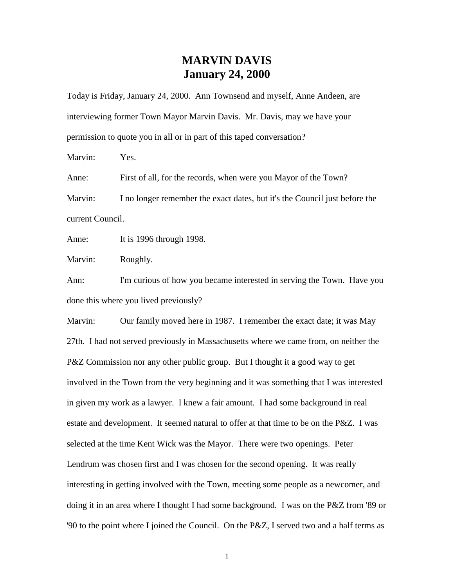## **MARVIN DAVIS January 24, 2000**

Today is Friday, January 24, 2000. Ann Townsend and myself, Anne Andeen, are interviewing former Town Mayor Marvin Davis. Mr. Davis, may we have your permission to quote you in all or in part of this taped conversation?

Marvin: Yes.

Anne: First of all, for the records, when were you Mayor of the Town?

Marvin: I no longer remember the exact dates, but it's the Council just before the current Council.

Anne: It is 1996 through 1998.

Marvin: Roughly.

Ann: I'm curious of how you became interested in serving the Town. Have you done this where you lived previously?

Marvin: Our family moved here in 1987. I remember the exact date; it was May 27th. I had not served previously in Massachusetts where we came from, on neither the P&Z Commission nor any other public group. But I thought it a good way to get involved in the Town from the very beginning and it was something that I was interested in given my work as a lawyer. I knew a fair amount. I had some background in real estate and development. It seemed natural to offer at that time to be on the P&Z. I was selected at the time Kent Wick was the Mayor. There were two openings. Peter Lendrum was chosen first and I was chosen for the second opening. It was really interesting in getting involved with the Town, meeting some people as a newcomer, and doing it in an area where I thought I had some background. I was on the P&Z from '89 or '90 to the point where I joined the Council. On the P&Z, I served two and a half terms as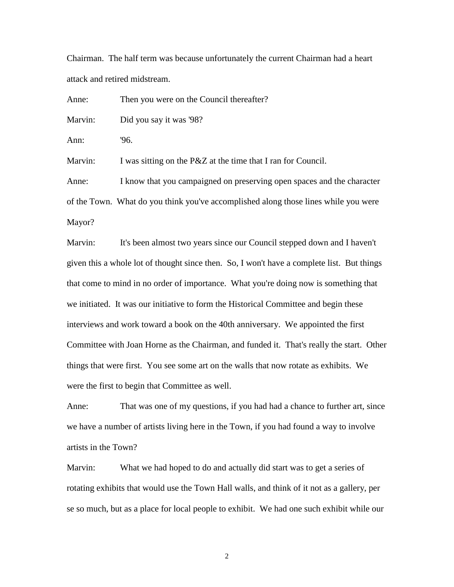Chairman. The half term was because unfortunately the current Chairman had a heart attack and retired midstream.

Anne: Then you were on the Council thereafter? Marvin: Did you say it was '98? Ann: '96. Marvin: I was sitting on the P&Z at the time that I ran for Council. Anne: I know that you campaigned on preserving open spaces and the character of the Town. What do you think you've accomplished along those lines while you were Mayor?

Marvin: It's been almost two years since our Council stepped down and I haven't given this a whole lot of thought since then. So, I won't have a complete list. But things that come to mind in no order of importance. What you're doing now is something that we initiated. It was our initiative to form the Historical Committee and begin these interviews and work toward a book on the 40th anniversary. We appointed the first Committee with Joan Horne as the Chairman, and funded it. That's really the start. Other things that were first. You see some art on the walls that now rotate as exhibits. We were the first to begin that Committee as well.

Anne: That was one of my questions, if you had had a chance to further art, since we have a number of artists living here in the Town, if you had found a way to involve artists in the Town?

Marvin: What we had hoped to do and actually did start was to get a series of rotating exhibits that would use the Town Hall walls, and think of it not as a gallery, per se so much, but as a place for local people to exhibit. We had one such exhibit while our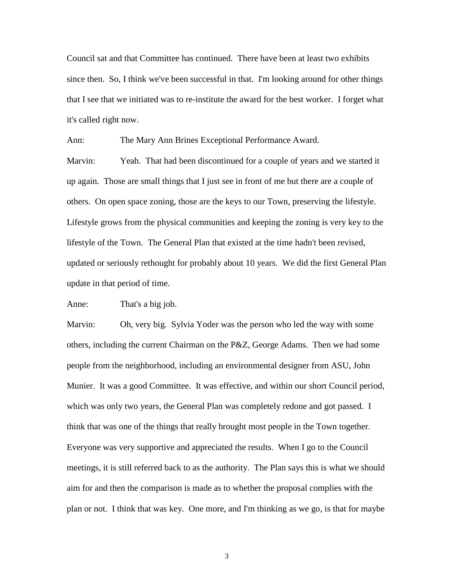Council sat and that Committee has continued. There have been at least two exhibits since then. So, I think we've been successful in that. I'm looking around for other things that I see that we initiated was to re-institute the award for the best worker. I forget what it's called right now.

Ann: The Mary Ann Brines Exceptional Performance Award.

Marvin: Yeah. That had been discontinued for a couple of years and we started it up again. Those are small things that I just see in front of me but there are a couple of others. On open space zoning, those are the keys to our Town, preserving the lifestyle. Lifestyle grows from the physical communities and keeping the zoning is very key to the lifestyle of the Town. The General Plan that existed at the time hadn't been revised, updated or seriously rethought for probably about 10 years. We did the first General Plan update in that period of time.

Anne: That's a big job.

Marvin: Oh, very big. Sylvia Yoder was the person who led the way with some others, including the current Chairman on the P&Z, George Adams. Then we had some people from the neighborhood, including an environmental designer from ASU, John Munier. It was a good Committee. It was effective, and within our short Council period, which was only two years, the General Plan was completely redone and got passed. I think that was one of the things that really brought most people in the Town together. Everyone was very supportive and appreciated the results. When I go to the Council meetings, it is still referred back to as the authority. The Plan says this is what we should aim for and then the comparison is made as to whether the proposal complies with the plan or not. I think that was key. One more, and I'm thinking as we go, is that for maybe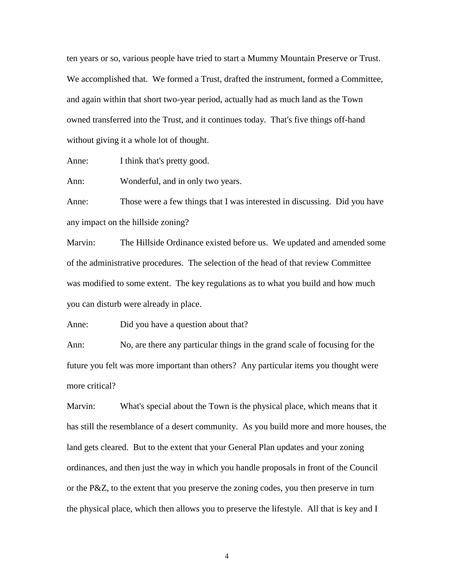ten years or so, various people have tried to start a Mummy Mountain Preserve or Trust. We accomplished that. We formed a Trust, drafted the instrument, formed a Committee, and again within that short two-year period, actually had as much land as the Town owned transferred into the Trust, and it continues today. That's five things off-hand without giving it a whole lot of thought.

Anne: I think that's pretty good.

Ann: Wonderful, and in only two years.

Anne: Those were a few things that I was interested in discussing. Did you have any impact on the hillside zoning?

Marvin: The Hillside Ordinance existed before us. We updated and amended some of the administrative procedures. The selection of the head of that review Committee was modified to some extent. The key regulations as to what you build and how much you can disturb were already in place.

Anne: Did you have a question about that?

Ann: No, are there any particular things in the grand scale of focusing for the future you felt was more important than others? Any particular items you thought were more critical?

Marvin: What's special about the Town is the physical place, which means that it has still the resemblance of a desert community. As you build more and more houses, the land gets cleared. But to the extent that your General Plan updates and your zoning ordinances, and then just the way in which you handle proposals in front of the Council or the P&Z, to the extent that you preserve the zoning codes, you then preserve in turn the physical place, which then allows you to preserve the lifestyle. All that is key and I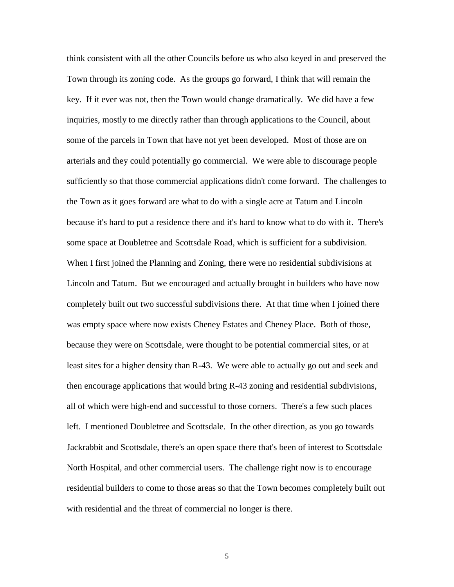think consistent with all the other Councils before us who also keyed in and preserved the Town through its zoning code. As the groups go forward, I think that will remain the key. If it ever was not, then the Town would change dramatically. We did have a few inquiries, mostly to me directly rather than through applications to the Council, about some of the parcels in Town that have not yet been developed. Most of those are on arterials and they could potentially go commercial. We were able to discourage people sufficiently so that those commercial applications didn't come forward. The challenges to the Town as it goes forward are what to do with a single acre at Tatum and Lincoln because it's hard to put a residence there and it's hard to know what to do with it. There's some space at Doubletree and Scottsdale Road, which is sufficient for a subdivision. When I first joined the Planning and Zoning, there were no residential subdivisions at Lincoln and Tatum. But we encouraged and actually brought in builders who have now completely built out two successful subdivisions there. At that time when I joined there was empty space where now exists Cheney Estates and Cheney Place. Both of those, because they were on Scottsdale, were thought to be potential commercial sites, or at least sites for a higher density than R-43. We were able to actually go out and seek and then encourage applications that would bring R-43 zoning and residential subdivisions, all of which were high-end and successful to those corners. There's a few such places left. I mentioned Doubletree and Scottsdale. In the other direction, as you go towards Jackrabbit and Scottsdale, there's an open space there that's been of interest to Scottsdale North Hospital, and other commercial users. The challenge right now is to encourage residential builders to come to those areas so that the Town becomes completely built out with residential and the threat of commercial no longer is there.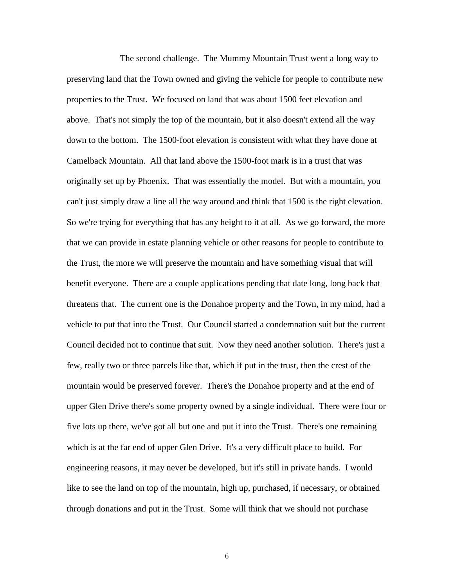The second challenge. The Mummy Mountain Trust went a long way to preserving land that the Town owned and giving the vehicle for people to contribute new properties to the Trust. We focused on land that was about 1500 feet elevation and above. That's not simply the top of the mountain, but it also doesn't extend all the way down to the bottom. The 1500-foot elevation is consistent with what they have done at Camelback Mountain. All that land above the 1500-foot mark is in a trust that was originally set up by Phoenix. That was essentially the model. But with a mountain, you can't just simply draw a line all the way around and think that 1500 is the right elevation. So we're trying for everything that has any height to it at all. As we go forward, the more that we can provide in estate planning vehicle or other reasons for people to contribute to the Trust, the more we will preserve the mountain and have something visual that will benefit everyone. There are a couple applications pending that date long, long back that threatens that. The current one is the Donahoe property and the Town, in my mind, had a vehicle to put that into the Trust. Our Council started a condemnation suit but the current Council decided not to continue that suit. Now they need another solution. There's just a few, really two or three parcels like that, which if put in the trust, then the crest of the mountain would be preserved forever. There's the Donahoe property and at the end of upper Glen Drive there's some property owned by a single individual. There were four or five lots up there, we've got all but one and put it into the Trust. There's one remaining which is at the far end of upper Glen Drive. It's a very difficult place to build. For engineering reasons, it may never be developed, but it's still in private hands. I would like to see the land on top of the mountain, high up, purchased, if necessary, or obtained through donations and put in the Trust. Some will think that we should not purchase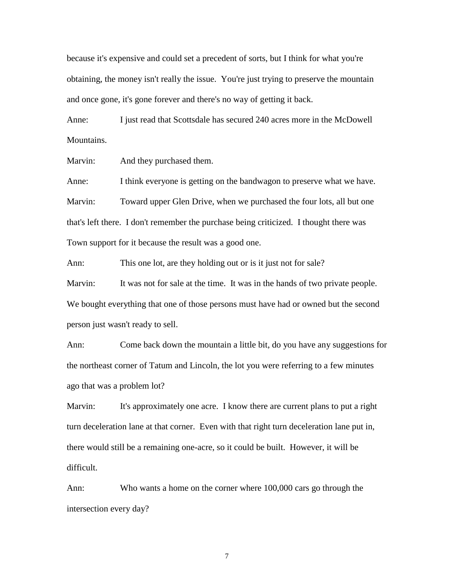because it's expensive and could set a precedent of sorts, but I think for what you're obtaining, the money isn't really the issue. You're just trying to preserve the mountain and once gone, it's gone forever and there's no way of getting it back.

Anne: I just read that Scottsdale has secured 240 acres more in the McDowell Mountains.

Marvin: And they purchased them.

Anne: I think everyone is getting on the bandwagon to preserve what we have. Marvin: Toward upper Glen Drive, when we purchased the four lots, all but one that's left there. I don't remember the purchase being criticized. I thought there was Town support for it because the result was a good one.

Ann: This one lot, are they holding out or is it just not for sale?

Marvin: It was not for sale at the time. It was in the hands of two private people. We bought everything that one of those persons must have had or owned but the second person just wasn't ready to sell.

Ann: Come back down the mountain a little bit, do you have any suggestions for the northeast corner of Tatum and Lincoln, the lot you were referring to a few minutes ago that was a problem lot?

Marvin: It's approximately one acre. I know there are current plans to put a right turn deceleration lane at that corner. Even with that right turn deceleration lane put in, there would still be a remaining one-acre, so it could be built. However, it will be difficult.

Ann: Who wants a home on the corner where 100,000 cars go through the intersection every day?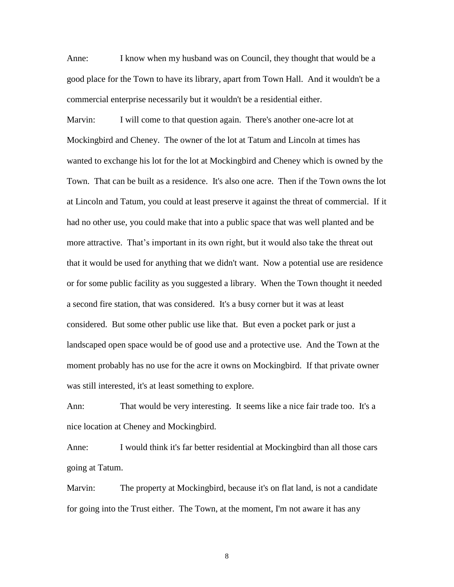Anne: I know when my husband was on Council, they thought that would be a good place for the Town to have its library, apart from Town Hall. And it wouldn't be a commercial enterprise necessarily but it wouldn't be a residential either.

Marvin: I will come to that question again. There's another one-acre lot at Mockingbird and Cheney. The owner of the lot at Tatum and Lincoln at times has wanted to exchange his lot for the lot at Mockingbird and Cheney which is owned by the Town. That can be built as a residence. It's also one acre. Then if the Town owns the lot at Lincoln and Tatum, you could at least preserve it against the threat of commercial. If it had no other use, you could make that into a public space that was well planted and be more attractive. That's important in its own right, but it would also take the threat out that it would be used for anything that we didn't want. Now a potential use are residence or for some public facility as you suggested a library. When the Town thought it needed a second fire station, that was considered. It's a busy corner but it was at least considered. But some other public use like that. But even a pocket park or just a landscaped open space would be of good use and a protective use. And the Town at the moment probably has no use for the acre it owns on Mockingbird. If that private owner was still interested, it's at least something to explore.

Ann: That would be very interesting. It seems like a nice fair trade too. It's a nice location at Cheney and Mockingbird.

Anne: I would think it's far better residential at Mockingbird than all those cars going at Tatum.

Marvin: The property at Mockingbird, because it's on flat land, is not a candidate for going into the Trust either. The Town, at the moment, I'm not aware it has any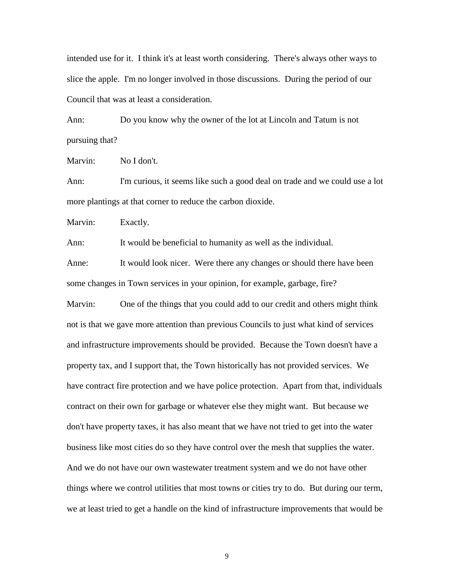intended use for it. I think it's at least worth considering. There's always other ways to slice the apple. I'm no longer involved in those discussions. During the period of our Council that was at least a consideration.

Ann: Do you know why the owner of the lot at Lincoln and Tatum is not pursuing that?

Marvin: No I don't.

Ann: I'm curious, it seems like such a good deal on trade and we could use a lot more plantings at that corner to reduce the carbon dioxide.

Marvin: Exactly.

Ann: It would be beneficial to humanity as well as the individual.

Anne: It would look nicer. Were there any changes or should there have been some changes in Town services in your opinion, for example, garbage, fire?

Marvin: One of the things that you could add to our credit and others might think not is that we gave more attention than previous Councils to just what kind of services and infrastructure improvements should be provided. Because the Town doesn't have a property tax, and I support that, the Town historically has not provided services. We have contract fire protection and we have police protection. Apart from that, individuals contract on their own for garbage or whatever else they might want. But because we don't have property taxes, it has also meant that we have not tried to get into the water business like most cities do so they have control over the mesh that supplies the water. And we do not have our own wastewater treatment system and we do not have other things where we control utilities that most towns or cities try to do. But during our term, we at least tried to get a handle on the kind of infrastructure improvements that would be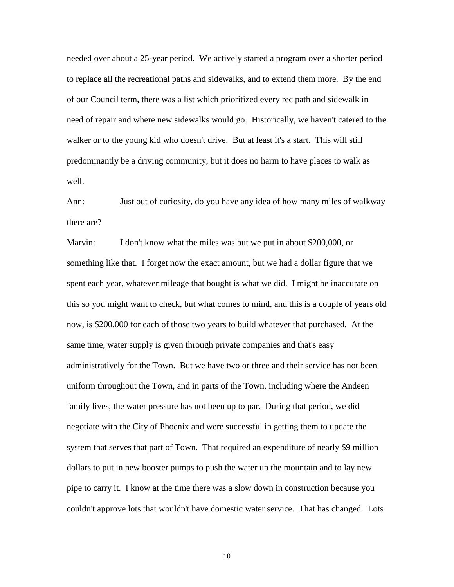needed over about a 25-year period. We actively started a program over a shorter period to replace all the recreational paths and sidewalks, and to extend them more. By the end of our Council term, there was a list which prioritized every rec path and sidewalk in need of repair and where new sidewalks would go. Historically, we haven't catered to the walker or to the young kid who doesn't drive. But at least it's a start. This will still predominantly be a driving community, but it does no harm to have places to walk as well.

Ann: Just out of curiosity, do you have any idea of how many miles of walkway there are?

Marvin: I don't know what the miles was but we put in about \$200,000, or something like that. I forget now the exact amount, but we had a dollar figure that we spent each year, whatever mileage that bought is what we did. I might be inaccurate on this so you might want to check, but what comes to mind, and this is a couple of years old now, is \$200,000 for each of those two years to build whatever that purchased. At the same time, water supply is given through private companies and that's easy administratively for the Town. But we have two or three and their service has not been uniform throughout the Town, and in parts of the Town, including where the Andeen family lives, the water pressure has not been up to par. During that period, we did negotiate with the City of Phoenix and were successful in getting them to update the system that serves that part of Town. That required an expenditure of nearly \$9 million dollars to put in new booster pumps to push the water up the mountain and to lay new pipe to carry it. I know at the time there was a slow down in construction because you couldn't approve lots that wouldn't have domestic water service. That has changed. Lots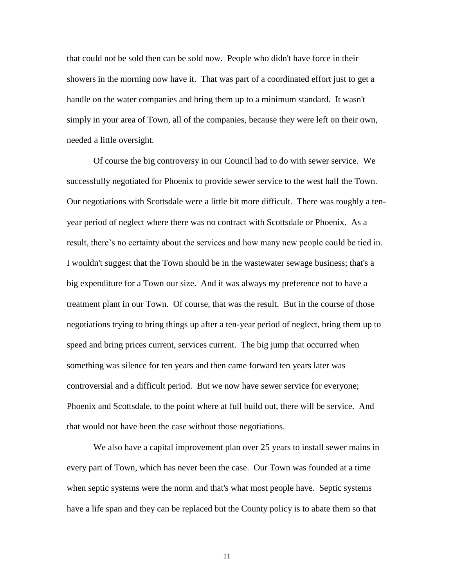that could not be sold then can be sold now. People who didn't have force in their showers in the morning now have it. That was part of a coordinated effort just to get a handle on the water companies and bring them up to a minimum standard. It wasn't simply in your area of Town, all of the companies, because they were left on their own, needed a little oversight.

Of course the big controversy in our Council had to do with sewer service. We successfully negotiated for Phoenix to provide sewer service to the west half the Town. Our negotiations with Scottsdale were a little bit more difficult. There was roughly a tenyear period of neglect where there was no contract with Scottsdale or Phoenix. As a result, there's no certainty about the services and how many new people could be tied in. I wouldn't suggest that the Town should be in the wastewater sewage business; that's a big expenditure for a Town our size. And it was always my preference not to have a treatment plant in our Town. Of course, that was the result. But in the course of those negotiations trying to bring things up after a ten-year period of neglect, bring them up to speed and bring prices current, services current. The big jump that occurred when something was silence for ten years and then came forward ten years later was controversial and a difficult period. But we now have sewer service for everyone; Phoenix and Scottsdale, to the point where at full build out, there will be service. And that would not have been the case without those negotiations.

We also have a capital improvement plan over 25 years to install sewer mains in every part of Town, which has never been the case. Our Town was founded at a time when septic systems were the norm and that's what most people have. Septic systems have a life span and they can be replaced but the County policy is to abate them so that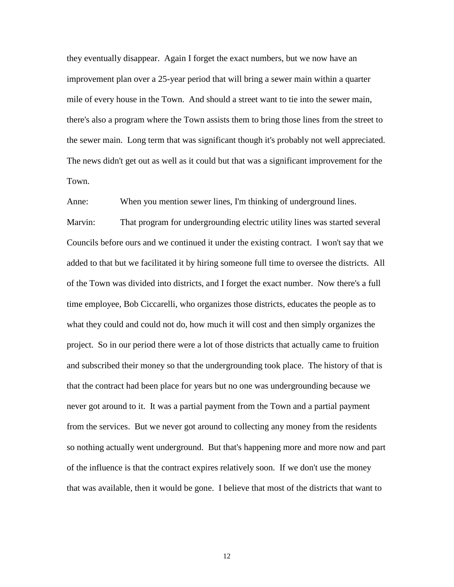they eventually disappear. Again I forget the exact numbers, but we now have an improvement plan over a 25-year period that will bring a sewer main within a quarter mile of every house in the Town. And should a street want to tie into the sewer main, there's also a program where the Town assists them to bring those lines from the street to the sewer main. Long term that was significant though it's probably not well appreciated. The news didn't get out as well as it could but that was a significant improvement for the Town.

Anne: When you mention sewer lines, I'm thinking of underground lines.

Marvin: That program for undergrounding electric utility lines was started several Councils before ours and we continued it under the existing contract. I won't say that we added to that but we facilitated it by hiring someone full time to oversee the districts. All of the Town was divided into districts, and I forget the exact number. Now there's a full time employee, Bob Ciccarelli, who organizes those districts, educates the people as to what they could and could not do, how much it will cost and then simply organizes the project. So in our period there were a lot of those districts that actually came to fruition and subscribed their money so that the undergrounding took place. The history of that is that the contract had been place for years but no one was undergrounding because we never got around to it. It was a partial payment from the Town and a partial payment from the services. But we never got around to collecting any money from the residents so nothing actually went underground. But that's happening more and more now and part of the influence is that the contract expires relatively soon. If we don't use the money that was available, then it would be gone. I believe that most of the districts that want to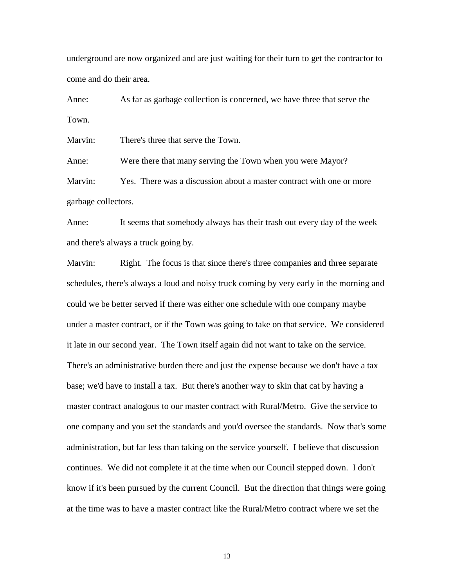underground are now organized and are just waiting for their turn to get the contractor to come and do their area.

Anne: As far as garbage collection is concerned, we have three that serve the Town.

Marvin: There's three that serve the Town.

Anne: Were there that many serving the Town when you were Mayor? Marvin: Yes. There was a discussion about a master contract with one or more garbage collectors.

Anne: It seems that somebody always has their trash out every day of the week and there's always a truck going by.

Marvin: Right. The focus is that since there's three companies and three separate schedules, there's always a loud and noisy truck coming by very early in the morning and could we be better served if there was either one schedule with one company maybe under a master contract, or if the Town was going to take on that service. We considered it late in our second year. The Town itself again did not want to take on the service. There's an administrative burden there and just the expense because we don't have a tax base; we'd have to install a tax. But there's another way to skin that cat by having a master contract analogous to our master contract with Rural/Metro. Give the service to one company and you set the standards and you'd oversee the standards. Now that's some administration, but far less than taking on the service yourself. I believe that discussion continues. We did not complete it at the time when our Council stepped down. I don't know if it's been pursued by the current Council. But the direction that things were going at the time was to have a master contract like the Rural/Metro contract where we set the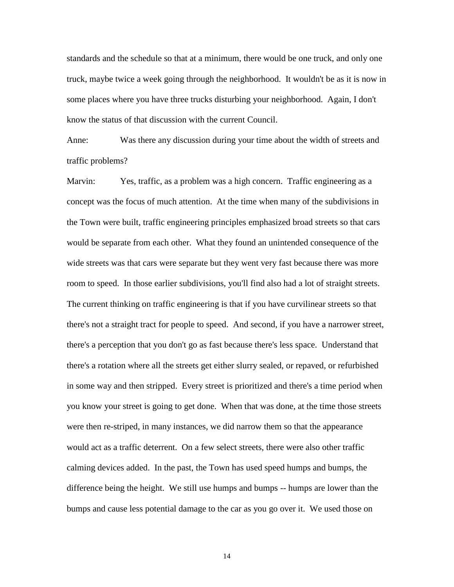standards and the schedule so that at a minimum, there would be one truck, and only one truck, maybe twice a week going through the neighborhood. It wouldn't be as it is now in some places where you have three trucks disturbing your neighborhood. Again, I don't know the status of that discussion with the current Council.

Anne: Was there any discussion during your time about the width of streets and traffic problems?

Marvin: Yes, traffic, as a problem was a high concern. Traffic engineering as a concept was the focus of much attention. At the time when many of the subdivisions in the Town were built, traffic engineering principles emphasized broad streets so that cars would be separate from each other. What they found an unintended consequence of the wide streets was that cars were separate but they went very fast because there was more room to speed. In those earlier subdivisions, you'll find also had a lot of straight streets. The current thinking on traffic engineering is that if you have curvilinear streets so that there's not a straight tract for people to speed. And second, if you have a narrower street, there's a perception that you don't go as fast because there's less space. Understand that there's a rotation where all the streets get either slurry sealed, or repaved, or refurbished in some way and then stripped. Every street is prioritized and there's a time period when you know your street is going to get done. When that was done, at the time those streets were then re-striped, in many instances, we did narrow them so that the appearance would act as a traffic deterrent. On a few select streets, there were also other traffic calming devices added. In the past, the Town has used speed humps and bumps, the difference being the height. We still use humps and bumps -- humps are lower than the bumps and cause less potential damage to the car as you go over it. We used those on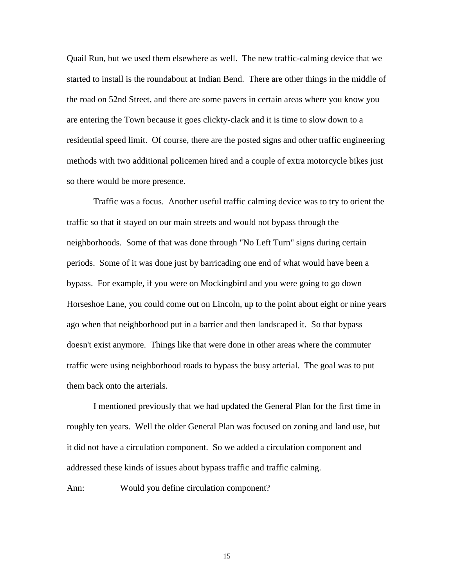Quail Run, but we used them elsewhere as well. The new traffic-calming device that we started to install is the roundabout at Indian Bend. There are other things in the middle of the road on 52nd Street, and there are some pavers in certain areas where you know you are entering the Town because it goes clickty-clack and it is time to slow down to a residential speed limit. Of course, there are the posted signs and other traffic engineering methods with two additional policemen hired and a couple of extra motorcycle bikes just so there would be more presence.

Traffic was a focus. Another useful traffic calming device was to try to orient the traffic so that it stayed on our main streets and would not bypass through the neighborhoods. Some of that was done through "No Left Turn" signs during certain periods. Some of it was done just by barricading one end of what would have been a bypass. For example, if you were on Mockingbird and you were going to go down Horseshoe Lane, you could come out on Lincoln, up to the point about eight or nine years ago when that neighborhood put in a barrier and then landscaped it. So that bypass doesn't exist anymore. Things like that were done in other areas where the commuter traffic were using neighborhood roads to bypass the busy arterial. The goal was to put them back onto the arterials.

I mentioned previously that we had updated the General Plan for the first time in roughly ten years. Well the older General Plan was focused on zoning and land use, but it did not have a circulation component. So we added a circulation component and addressed these kinds of issues about bypass traffic and traffic calming.

Ann: Would you define circulation component?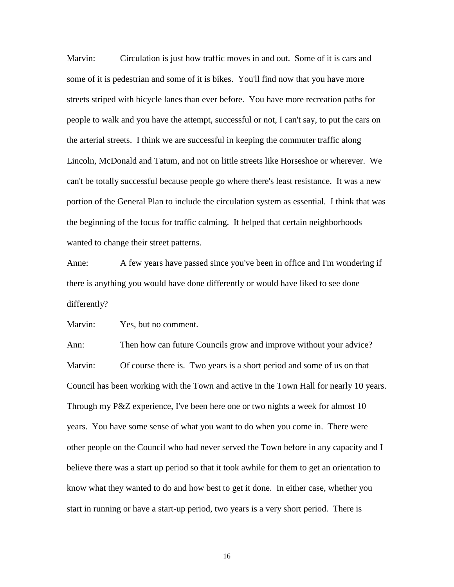Marvin: Circulation is just how traffic moves in and out. Some of it is cars and some of it is pedestrian and some of it is bikes. You'll find now that you have more streets striped with bicycle lanes than ever before. You have more recreation paths for people to walk and you have the attempt, successful or not, I can't say, to put the cars on the arterial streets. I think we are successful in keeping the commuter traffic along Lincoln, McDonald and Tatum, and not on little streets like Horseshoe or wherever. We can't be totally successful because people go where there's least resistance. It was a new portion of the General Plan to include the circulation system as essential. I think that was the beginning of the focus for traffic calming. It helped that certain neighborhoods wanted to change their street patterns.

Anne: A few years have passed since you've been in office and I'm wondering if there is anything you would have done differently or would have liked to see done differently?

Marvin: Yes, but no comment.

Ann: Then how can future Councils grow and improve without your advice? Marvin: Of course there is. Two years is a short period and some of us on that Council has been working with the Town and active in the Town Hall for nearly 10 years. Through my P&Z experience, I've been here one or two nights a week for almost 10 years. You have some sense of what you want to do when you come in. There were other people on the Council who had never served the Town before in any capacity and I believe there was a start up period so that it took awhile for them to get an orientation to know what they wanted to do and how best to get it done. In either case, whether you start in running or have a start-up period, two years is a very short period. There is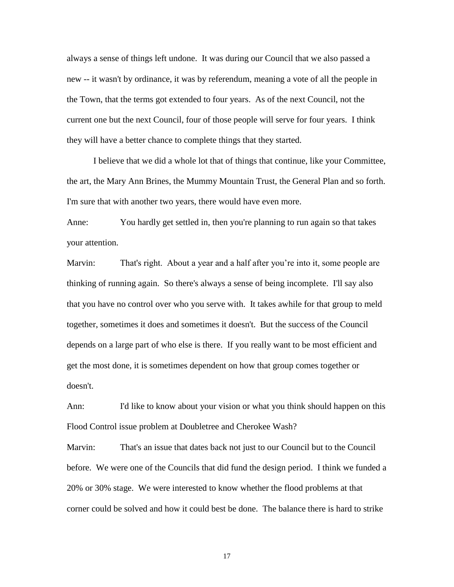always a sense of things left undone. It was during our Council that we also passed a new -- it wasn't by ordinance, it was by referendum, meaning a vote of all the people in the Town, that the terms got extended to four years. As of the next Council, not the current one but the next Council, four of those people will serve for four years. I think they will have a better chance to complete things that they started.

I believe that we did a whole lot that of things that continue, like your Committee, the art, the Mary Ann Brines, the Mummy Mountain Trust, the General Plan and so forth. I'm sure that with another two years, there would have even more.

Anne: You hardly get settled in, then you're planning to run again so that takes your attention.

Marvin: That's right. About a year and a half after you're into it, some people are thinking of running again. So there's always a sense of being incomplete. I'll say also that you have no control over who you serve with. It takes awhile for that group to meld together, sometimes it does and sometimes it doesn't. But the success of the Council depends on a large part of who else is there. If you really want to be most efficient and get the most done, it is sometimes dependent on how that group comes together or doesn't.

Ann: I'd like to know about your vision or what you think should happen on this Flood Control issue problem at Doubletree and Cherokee Wash?

Marvin: That's an issue that dates back not just to our Council but to the Council before. We were one of the Councils that did fund the design period. I think we funded a 20% or 30% stage. We were interested to know whether the flood problems at that corner could be solved and how it could best be done. The balance there is hard to strike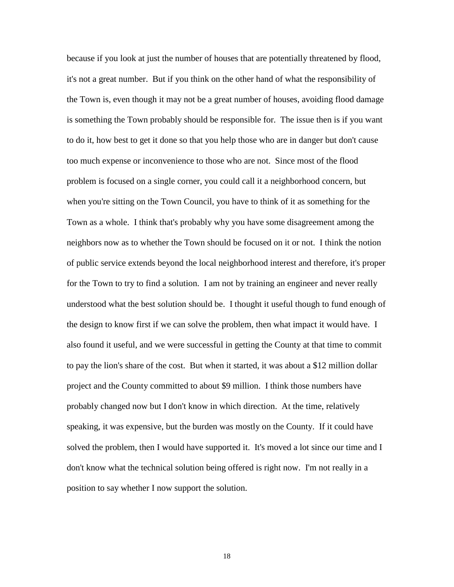because if you look at just the number of houses that are potentially threatened by flood, it's not a great number. But if you think on the other hand of what the responsibility of the Town is, even though it may not be a great number of houses, avoiding flood damage is something the Town probably should be responsible for. The issue then is if you want to do it, how best to get it done so that you help those who are in danger but don't cause too much expense or inconvenience to those who are not. Since most of the flood problem is focused on a single corner, you could call it a neighborhood concern, but when you're sitting on the Town Council, you have to think of it as something for the Town as a whole. I think that's probably why you have some disagreement among the neighbors now as to whether the Town should be focused on it or not. I think the notion of public service extends beyond the local neighborhood interest and therefore, it's proper for the Town to try to find a solution. I am not by training an engineer and never really understood what the best solution should be. I thought it useful though to fund enough of the design to know first if we can solve the problem, then what impact it would have. I also found it useful, and we were successful in getting the County at that time to commit to pay the lion's share of the cost. But when it started, it was about a \$12 million dollar project and the County committed to about \$9 million. I think those numbers have probably changed now but I don't know in which direction. At the time, relatively speaking, it was expensive, but the burden was mostly on the County. If it could have solved the problem, then I would have supported it. It's moved a lot since our time and I don't know what the technical solution being offered is right now. I'm not really in a position to say whether I now support the solution.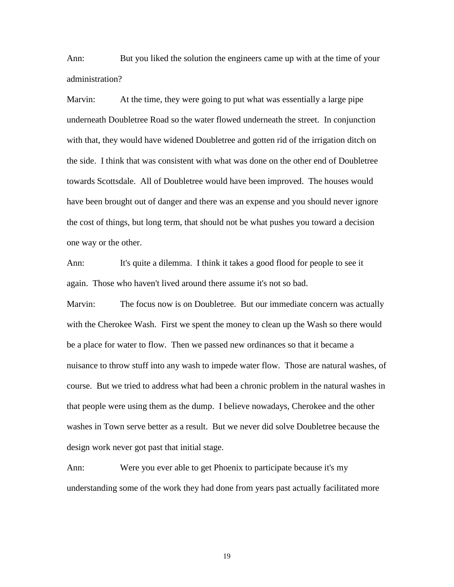Ann: But you liked the solution the engineers came up with at the time of your administration?

Marvin: At the time, they were going to put what was essentially a large pipe underneath Doubletree Road so the water flowed underneath the street. In conjunction with that, they would have widened Doubletree and gotten rid of the irrigation ditch on the side. I think that was consistent with what was done on the other end of Doubletree towards Scottsdale. All of Doubletree would have been improved. The houses would have been brought out of danger and there was an expense and you should never ignore the cost of things, but long term, that should not be what pushes you toward a decision one way or the other.

Ann: It's quite a dilemma. I think it takes a good flood for people to see it again. Those who haven't lived around there assume it's not so bad.

Marvin: The focus now is on Doubletree. But our immediate concern was actually with the Cherokee Wash. First we spent the money to clean up the Wash so there would be a place for water to flow. Then we passed new ordinances so that it became a nuisance to throw stuff into any wash to impede water flow. Those are natural washes, of course. But we tried to address what had been a chronic problem in the natural washes in that people were using them as the dump. I believe nowadays, Cherokee and the other washes in Town serve better as a result. But we never did solve Doubletree because the design work never got past that initial stage.

Ann: Were you ever able to get Phoenix to participate because it's my understanding some of the work they had done from years past actually facilitated more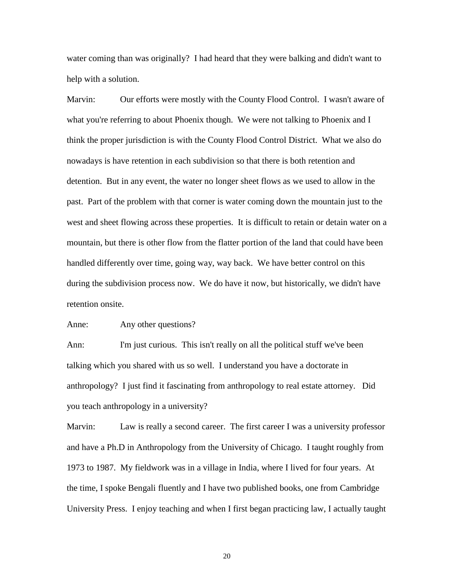water coming than was originally? I had heard that they were balking and didn't want to help with a solution.

Marvin: Our efforts were mostly with the County Flood Control. I wasn't aware of what you're referring to about Phoenix though. We were not talking to Phoenix and I think the proper jurisdiction is with the County Flood Control District. What we also do nowadays is have retention in each subdivision so that there is both retention and detention. But in any event, the water no longer sheet flows as we used to allow in the past. Part of the problem with that corner is water coming down the mountain just to the west and sheet flowing across these properties. It is difficult to retain or detain water on a mountain, but there is other flow from the flatter portion of the land that could have been handled differently over time, going way, way back. We have better control on this during the subdivision process now. We do have it now, but historically, we didn't have retention onsite.

Anne: Any other questions?

Ann: I'm just curious. This isn't really on all the political stuff we've been talking which you shared with us so well. I understand you have a doctorate in anthropology? I just find it fascinating from anthropology to real estate attorney. Did you teach anthropology in a university?

Marvin: Law is really a second career. The first career I was a university professor and have a Ph.D in Anthropology from the University of Chicago. I taught roughly from 1973 to 1987. My fieldwork was in a village in India, where I lived for four years. At the time, I spoke Bengali fluently and I have two published books, one from Cambridge University Press. I enjoy teaching and when I first began practicing law, I actually taught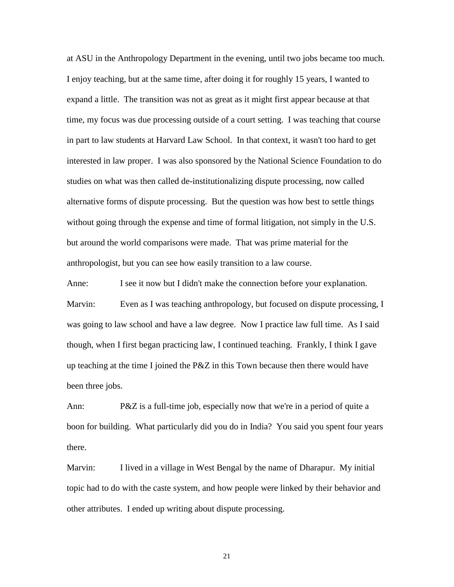at ASU in the Anthropology Department in the evening, until two jobs became too much. I enjoy teaching, but at the same time, after doing it for roughly 15 years, I wanted to expand a little. The transition was not as great as it might first appear because at that time, my focus was due processing outside of a court setting. I was teaching that course in part to law students at Harvard Law School. In that context, it wasn't too hard to get interested in law proper. I was also sponsored by the National Science Foundation to do studies on what was then called de-institutionalizing dispute processing, now called alternative forms of dispute processing. But the question was how best to settle things without going through the expense and time of formal litigation, not simply in the U.S. but around the world comparisons were made. That was prime material for the anthropologist, but you can see how easily transition to a law course.

Anne: I see it now but I didn't make the connection before your explanation. Marvin: Even as I was teaching anthropology, but focused on dispute processing, I was going to law school and have a law degree. Now I practice law full time. As I said though, when I first began practicing law, I continued teaching. Frankly, I think I gave up teaching at the time I joined the  $P\&Z$  in this Town because then there would have been three jobs.

Ann: P&Z is a full-time job, especially now that we're in a period of quite a boon for building. What particularly did you do in India? You said you spent four years there.

Marvin: I lived in a village in West Bengal by the name of Dharapur. My initial topic had to do with the caste system, and how people were linked by their behavior and other attributes. I ended up writing about dispute processing.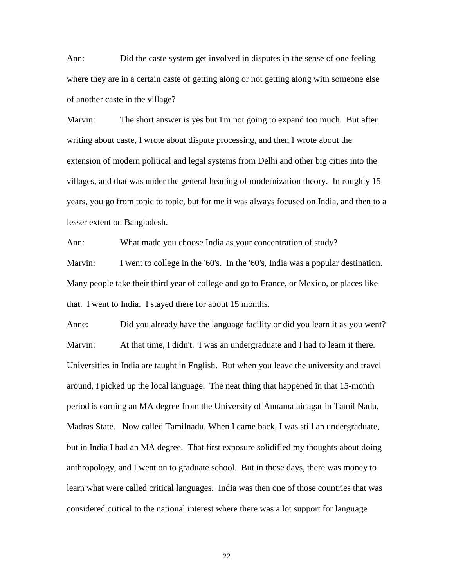Ann: Did the caste system get involved in disputes in the sense of one feeling where they are in a certain caste of getting along or not getting along with someone else of another caste in the village?

Marvin: The short answer is yes but I'm not going to expand too much. But after writing about caste, I wrote about dispute processing, and then I wrote about the extension of modern political and legal systems from Delhi and other big cities into the villages, and that was under the general heading of modernization theory. In roughly 15 years, you go from topic to topic, but for me it was always focused on India, and then to a lesser extent on Bangladesh.

Ann: What made you choose India as your concentration of study? Marvin: I went to college in the '60's. In the '60's, India was a popular destination. Many people take their third year of college and go to France, or Mexico, or places like that. I went to India. I stayed there for about 15 months.

Anne: Did you already have the language facility or did you learn it as you went? Marvin: At that time, I didn't. I was an undergraduate and I had to learn it there. Universities in India are taught in English. But when you leave the university and travel around, I picked up the local language. The neat thing that happened in that 15-month period is earning an MA degree from the University of Annamalainagar in Tamil Nadu, Madras State. Now called Tamilnadu. When I came back, I was still an undergraduate, but in India I had an MA degree. That first exposure solidified my thoughts about doing anthropology, and I went on to graduate school. But in those days, there was money to learn what were called critical languages. India was then one of those countries that was considered critical to the national interest where there was a lot support for language